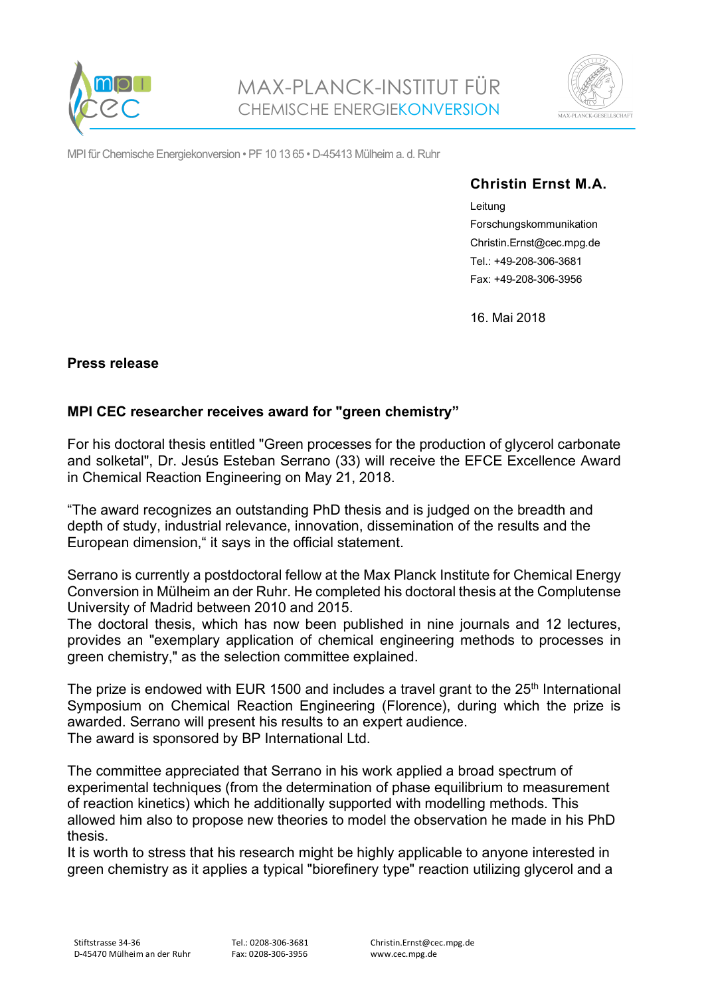



MPI für Chemische Energiekonversion • PF 10 13 65 • D-45413 Mülheim a. d. Ruhr

## **Christin Ernst M.A.**

Leitung Forschungskommunikation Christin.Ernst@cec.mpg.de Tel.: +49-208-306-3681 Fax: +49-208-306-3956

16. Mai 2018

## **Press release**

## **MPI CEC researcher receives award for "green chemistry"**

For his doctoral thesis entitled "Green processes for the production of glycerol carbonate and solketal", Dr. Jesús Esteban Serrano (33) will receive the EFCE Excellence Award in Chemical Reaction Engineering on May 21, 2018.

"The award recognizes an outstanding PhD thesis and is judged on the breadth and depth of study, industrial relevance, innovation, dissemination of the results and the European dimension," it says in the official statement.

Serrano is currently a postdoctoral fellow at the Max Planck Institute for Chemical Energy Conversion in Mülheim an der Ruhr. He completed his doctoral thesis at the Complutense University of Madrid between 2010 and 2015.

The doctoral thesis, which has now been published in nine journals and 12 lectures, provides an "exemplary application of chemical engineering methods to processes in green chemistry," as the selection committee explained.

The prize is endowed with EUR 1500 and includes a travel grant to the  $25<sup>th</sup>$  International Symposium on Chemical Reaction Engineering (Florence), during which the prize is awarded. Serrano will present his results to an expert audience. The award is sponsored by BP International Ltd.

The committee appreciated that Serrano in his work applied a broad spectrum of experimental techniques (from the determination of phase equilibrium to measurement of reaction kinetics) which he additionally supported with modelling methods. This allowed him also to propose new theories to model the observation he made in his PhD thesis.

It is worth to stress that his research might be highly applicable to anyone interested in green chemistry as it applies a typical "biorefinery type" reaction utilizing glycerol and a